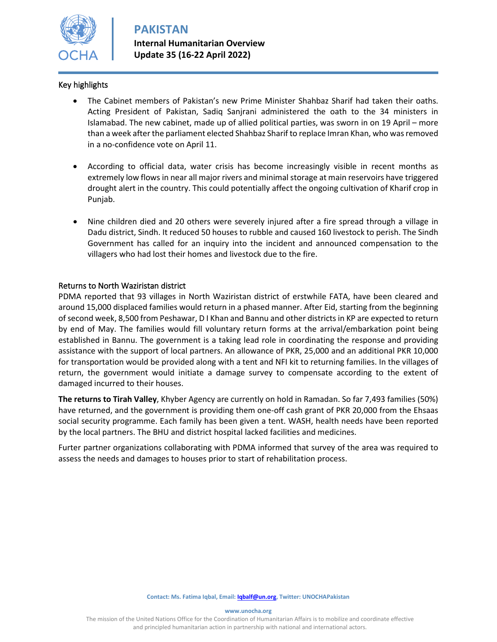

#### Key highlights

- The Cabinet members of Pakistan's new Prime Minister Shahbaz Sharif had taken their oaths. Acting President of Pakistan, Sadiq Sanjrani administered the oath to the 34 ministers in Islamabad. The new cabinet, made up of allied political parties, was sworn in on 19 April – more than a week after the parliament elected Shahbaz Sharif to replace Imran Khan, who was removed in a no-confidence vote on April 11.
- According to official data, water crisis has become increasingly visible in recent months as extremely low flows in near all major rivers and minimal storage at main reservoirs have triggered drought alert in the country. This could potentially affect the ongoing cultivation of Kharif crop in Punjab.
- Nine children died and 20 others were severely injured after a fire spread through a village in Dadu district, Sindh. It reduced 50 houses to rubble and caused 160 livestock to perish. The Sindh Government has called for an inquiry into the incident and announced compensation to the villagers who had lost their homes and livestock due to the fire.

#### Returns to North Waziristan district

PDMA reported that 93 villages in North Waziristan district of erstwhile FATA, have been cleared and around 15,000 displaced families would return in a phased manner. After Eid, starting from the beginning of second week, 8,500 from Peshawar, D I Khan and Bannu and other districts in KP are expected to return by end of May. The families would fill voluntary return forms at the arrival/embarkation point being established in Bannu. The government is a taking lead role in coordinating the response and providing assistance with the support of local partners. An allowance of PKR, 25,000 and an additional PKR 10,000 for transportation would be provided along with a tent and NFI kit to returning families. In the villages of return, the government would initiate a damage survey to compensate according to the extent of damaged incurred to their houses.

**The returns to Tirah Valley**, Khyber Agency are currently on hold in Ramadan. So far 7,493 families (50%) have returned, and the government is providing them one-off cash grant of PKR 20,000 from the Ehsaas social security programme. Each family has been given a tent. WASH, health needs have been reported by the local partners. The BHU and district hospital lacked facilities and medicines.

Furter partner organizations collaborating with PDMA informed that survey of the area was required to assess the needs and damages to houses prior to start of rehabilitation process.

**www.unocha.org**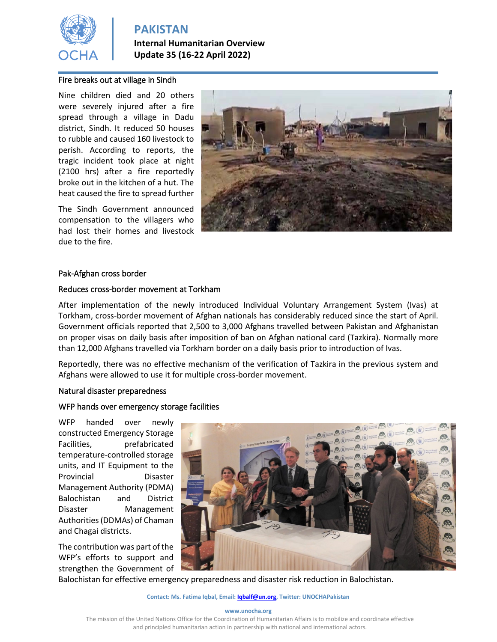

**Internal Humanitarian Overview Update 35 (16-22 April 2022)**

### Fire breaks out at village in Sindh

Nine children died and 20 others were severely injured after a fire spread through a village in Dadu district, Sindh. It reduced 50 houses to rubble and caused 160 livestock to perish. According to reports, the tragic incident took place at night (2100 hrs) after a fire reportedly broke out in the kitchen of a hut. The heat caused the fire to spread further

The Sindh Government announced compensation to the villagers who had lost their homes and livestock due to the fire.



#### Pak-Afghan cross border

#### Reduces cross-border movement at Torkham

After implementation of the newly introduced Individual Voluntary Arrangement System (Ivas) at Torkham, cross-border movement of Afghan nationals has considerably reduced since the start of April. Government officials reported that 2,500 to 3,000 Afghans travelled between Pakistan and Afghanistan on proper visas on daily basis after imposition of ban on Afghan national card (Tazkira). Normally more than 12,000 Afghans travelled via Torkham border on a daily basis prior to introduction of Ivas.

Reportedly, there was no effective mechanism of the verification of Tazkira in the previous system and Afghans were allowed to use it for multiple cross-border movement.

#### Natural disaster preparedness

#### WFP hands over emergency storage facilities

WFP handed over newly constructed Emergency Storage Facilities, prefabricated temperature-controlled storage units, and IT Equipment to the Provincial Disaster Management Authority (PDMA) Balochistan and District Disaster Management Authorities (DDMAs) of Chaman and Chagai districts.

The contribution was part of the WFP's efforts to support and strengthen the Government of



Balochistan for effective emergency preparedness and disaster risk reduction in Balochistan.

#### **Contact: Ms. Fatima Iqbal, Email[: Iqbalf@un.org,](mailto:Iqbalf@un.org) Twitter: UNOCHAPakistan**

#### **www.unocha.org**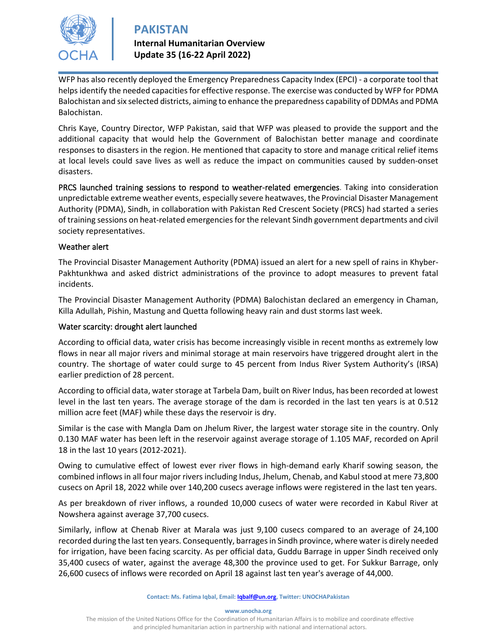

## **Internal Humanitarian Overview Update 35 (16-22 April 2022)**

WFP has also recently deployed the Emergency Preparedness Capacity Index (EPCI) - a corporate tool that helps identify the needed capacities for effective response. The exercise was conducted by WFP for PDMA Balochistan and six selected districts, aiming to enhance the preparedness capability of DDMAs and PDMA Balochistan.

Chris Kaye, Country Director, WFP Pakistan, said that WFP was pleased to provide the support and the additional capacity that would help the Government of Balochistan better manage and coordinate responses to disasters in the region. He mentioned that capacity to store and manage critical relief items at local levels could save lives as well as reduce the impact on communities caused by sudden-onset disasters.

PRCS launched training sessions to respond to weather-related emergencies. Taking into consideration unpredictable extreme weather events, especially severe heatwaves, the Provincial Disaster Management Authority (PDMA), Sindh, in collaboration with Pakistan Red Crescent Society (PRCS) had started a series of training sessions on heat-related emergencies for the relevant Sindh government departments and civil society representatives.

### Weather alert

The Provincial Disaster Management Authority (PDMA) issued an alert for a new spell of rains in Khyber-Pakhtunkhwa and asked district administrations of the province to adopt measures to prevent fatal incidents.

The Provincial Disaster Management Authority (PDMA) Balochistan declared an emergency in Chaman, Killa Adullah, Pishin, Mastung and Quetta following heavy rain and dust storms last week.

### Water scarcity: drought alert launched

According to official data, water crisis has become increasingly visible in recent months as extremely low flows in near all major rivers and minimal storage at main reservoirs have triggered drought alert in the country. The shortage of water could surge to 45 percent from Indus River System Authority's (IRSA) earlier prediction of 28 percent.

According to official data, water storage at Tarbela Dam, built on River Indus, has been recorded at lowest level in the last ten years. The average storage of the dam is recorded in the last ten years is at 0.512 million acre feet (MAF) while these days the reservoir is dry.

Similar is the case with Mangla Dam on Jhelum River, the largest water storage site in the country. Only 0.130 MAF water has been left in the reservoir against average storage of 1.105 MAF, recorded on April 18 in the last 10 years (2012-2021).

Owing to cumulative effect of lowest ever river flows in high-demand early Kharif sowing season, the combined inflows in all four major rivers including Indus, Jhelum, Chenab, and Kabul stood at mere 73,800 cusecs on April 18, 2022 while over 140,200 cusecs average inflows were registered in the last ten years.

As per breakdown of river inflows, a rounded 10,000 cusecs of water were recorded in Kabul River at Nowshera against average 37,700 cusecs.

Similarly, inflow at Chenab River at Marala was just 9,100 cusecs compared to an average of 24,100 recorded during the last ten years. Consequently, barrages in Sindh province, where water is direly needed for irrigation, have been facing scarcity. As per official data, Guddu Barrage in upper Sindh received only 35,400 cusecs of water, against the average 48,300 the province used to get. For Sukkur Barrage, only 26,600 cusecs of inflows were recorded on April 18 against last ten year's average of 44,000.

#### **Contact: Ms. Fatima Iqbal, Email[: Iqbalf@un.org,](mailto:Iqbalf@un.org) Twitter: UNOCHAPakistan**

**www.unocha.org**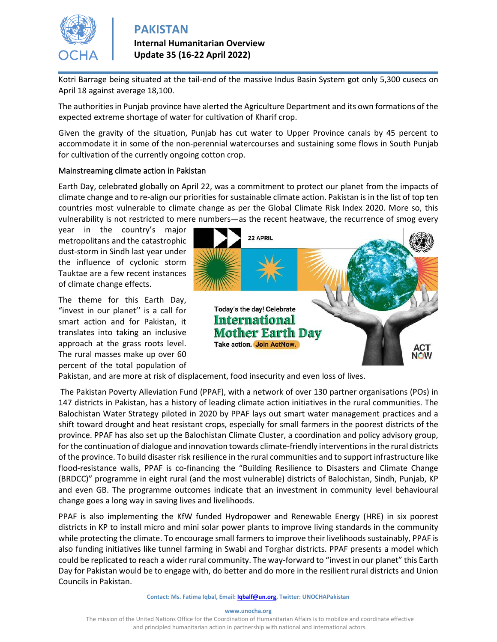

**Internal Humanitarian Overview Update 35 (16-22 April 2022)**

Kotri Barrage being situated at the tail-end of the massive Indus Basin System got only 5,300 cusecs on April 18 against average 18,100.

The authorities in Punjab province have alerted the Agriculture Department and its own formations of the expected extreme shortage of water for cultivation of Kharif crop.

Given the gravity of the situation, Punjab has cut water to Upper Province canals by 45 percent to accommodate it in some of the non-perennial watercourses and sustaining some flows in South Punjab for cultivation of the currently ongoing cotton crop.

#### Mainstreaming climate action in Pakistan

Earth Day, celebrated globally on April 22, was a commitment to protect our planet from the impacts of climate change and to re-align our priorities for sustainable climate action. Pakistan is in the list of top ten countries most vulnerable to climate change as per the Global Climate Risk Index 2020. More so, this vulnerability is not restricted to mere numbers—as the recent heatwave, the recurrence of smog every

year in the country's major metropolitans and the catastrophic dust-storm in Sindh last year under the influence of cyclonic storm Tauktae are a few recent instances of climate change effects.

The theme for this Earth Day, "invest in our planet'' is a call for smart action and for Pakistan, it translates into taking an inclusive approach at the grass roots level. The rural masses make up over 60 percent of the total population of



Pakistan, and are more at risk of displacement, food insecurity and even loss of lives.

The Pakistan Poverty Alleviation Fund (PPAF), with a network of over 130 partner organisations (POs) in 147 districts in Pakistan, has a history of leading climate action initiatives in the rural communities. The Balochistan Water Strategy piloted in 2020 by PPAF lays out smart water management practices and a shift toward drought and heat resistant crops, especially for small farmers in the poorest districts of the province. PPAF has also set up the Balochistan Climate Cluster, a coordination and policy advisory group, for the continuation of dialogue and innovation towards climate-friendly interventions in the rural districts of the province. To build disaster risk resilience in the rural communities and to support infrastructure like flood-resistance walls, PPAF is co-financing the "Building Resilience to Disasters and Climate Change (BRDCC)" programme in eight rural (and the most vulnerable) districts of Balochistan, Sindh, Punjab, KP and even GB. The programme outcomes indicate that an investment in community level behavioural change goes a long way in saving lives and livelihoods.

PPAF is also implementing the KfW funded Hydropower and Renewable Energy (HRE) in six poorest districts in KP to install micro and mini solar power plants to improve living standards in the community while protecting the climate. To encourage small farmers to improve their livelihoods sustainably, PPAF is also funding initiatives like tunnel farming in Swabi and Torghar districts. PPAF presents a model which could be replicated to reach a wider rural community. The way-forward to "invest in our planet" this Earth Day for Pakistan would be to engage with, do better and do more in the resilient rural districts and Union Councils in Pakistan.

#### **www.unocha.org**